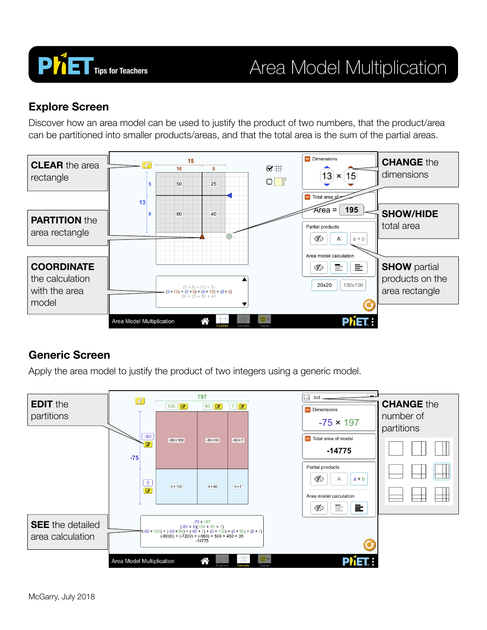

# **PhiET** Tips for Teachers **Area Model Multiplication**

#### **Explore Screen**

Discover how an area model can be used to justify the product of two numbers, that the product/area can be partitioned into smaller products/areas, and that the total area is the sum of the partial areas.



### **Generic Screen**

Apply the area model to justify the product of two integers using a generic model.